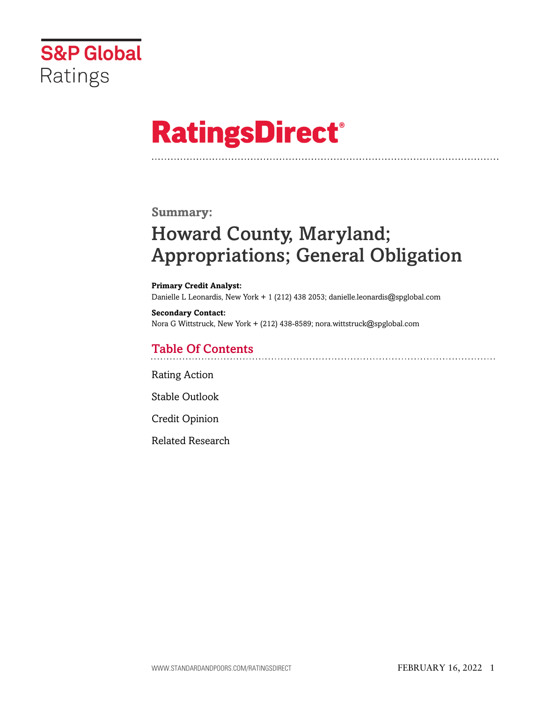

# **RatingsDirect®**

### **Summary:**

# Howard County, Maryland; Appropriations; General Obligation

**Primary Credit Analyst:** Danielle L Leonardis, New York + 1 (212) 438 2053; danielle.leonardis@spglobal.com

**Secondary Contact:** Nora G Wittstruck, New York + (212) 438-8589; nora.wittstruck@spglobal.com

### Table Of Contents

[Rating Action](#page-1-0)

[Stable Outlook](#page-3-0)

[Credit Opinion](#page-3-1)

[Related Research](#page-7-0)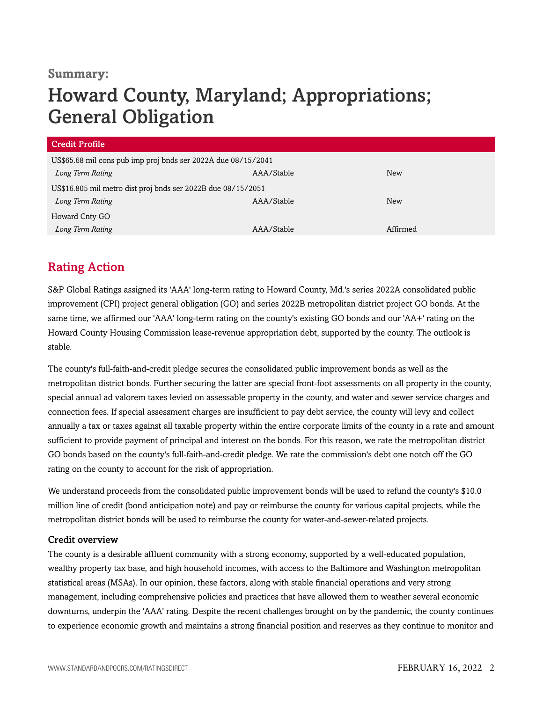#### **Summary:**

# Howard County, Maryland; Appropriations; General Obligation

| Credit Profile                                                |            |            |  |  |
|---------------------------------------------------------------|------------|------------|--|--|
| US\$65.68 mil cons pub imp proj bnds ser 2022A due 08/15/2041 |            |            |  |  |
| Long Term Rating                                              | AAA/Stable | <b>New</b> |  |  |
| US\$16.805 mil metro dist proj bnds ser 2022B due 08/15/2051  |            |            |  |  |
| Long Term Rating                                              | AAA/Stable | <b>New</b> |  |  |
| Howard Cnty GO                                                |            |            |  |  |
| Long Term Rating                                              | AAA/Stable | Affirmed   |  |  |

# <span id="page-1-0"></span>Rating Action

S&P Global Ratings assigned its 'AAA' long-term rating to Howard County, Md.'s series 2022A consolidated public improvement (CPI) project general obligation (GO) and series 2022B metropolitan district project GO bonds. At the same time, we affirmed our 'AAA' long-term rating on the county's existing GO bonds and our 'AA+' rating on the Howard County Housing Commission lease-revenue appropriation debt, supported by the county. The outlook is stable.

The county's full-faith-and-credit pledge secures the consolidated public improvement bonds as well as the metropolitan district bonds. Further securing the latter are special front-foot assessments on all property in the county, special annual ad valorem taxes levied on assessable property in the county, and water and sewer service charges and connection fees. If special assessment charges are insufficient to pay debt service, the county will levy and collect annually a tax or taxes against all taxable property within the entire corporate limits of the county in a rate and amount sufficient to provide payment of principal and interest on the bonds. For this reason, we rate the metropolitan district GO bonds based on the county's full-faith-and-credit pledge. We rate the commission's debt one notch off the GO rating on the county to account for the risk of appropriation.

We understand proceeds from the consolidated public improvement bonds will be used to refund the county's \$10.0 million line of credit (bond anticipation note) and pay or reimburse the county for various capital projects, while the metropolitan district bonds will be used to reimburse the county for water-and-sewer-related projects.

#### Credit overview

The county is a desirable affluent community with a strong economy, supported by a well-educated population, wealthy property tax base, and high household incomes, with access to the Baltimore and Washington metropolitan statistical areas (MSAs). In our opinion, these factors, along with stable financial operations and very strong management, including comprehensive policies and practices that have allowed them to weather several economic downturns, underpin the 'AAA' rating. Despite the recent challenges brought on by the pandemic, the county continues to experience economic growth and maintains a strong financial position and reserves as they continue to monitor and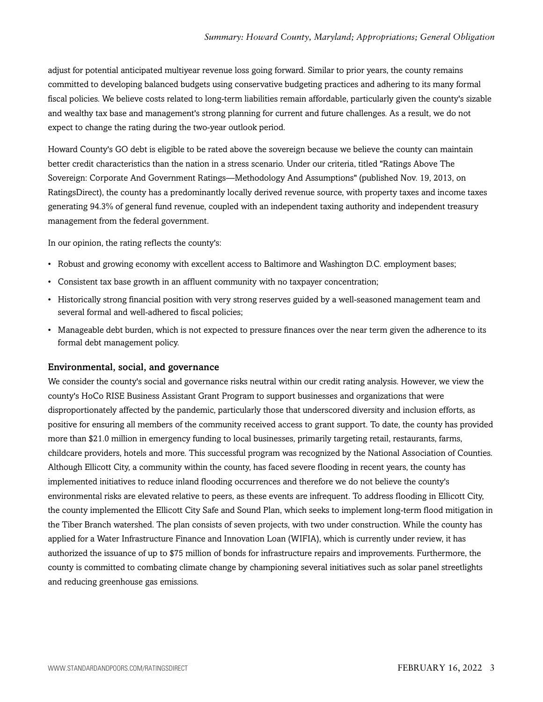adjust for potential anticipated multiyear revenue loss going forward. Similar to prior years, the county remains committed to developing balanced budgets using conservative budgeting practices and adhering to its many formal fiscal policies. We believe costs related to long-term liabilities remain affordable, particularly given the county's sizable and wealthy tax base and management's strong planning for current and future challenges. As a result, we do not expect to change the rating during the two-year outlook period.

Howard County's GO debt is eligible to be rated above the sovereign because we believe the county can maintain better credit characteristics than the nation in a stress scenario. Under our criteria, titled "Ratings Above The Sovereign: Corporate And Government Ratings—Methodology And Assumptions" (published Nov. 19, 2013, on RatingsDirect), the county has a predominantly locally derived revenue source, with property taxes and income taxes generating 94.3% of general fund revenue, coupled with an independent taxing authority and independent treasury management from the federal government.

In our opinion, the rating reflects the county's:

- Robust and growing economy with excellent access to Baltimore and Washington D.C. employment bases;
- Consistent tax base growth in an affluent community with no taxpayer concentration;
- Historically strong financial position with very strong reserves guided by a well-seasoned management team and several formal and well-adhered to fiscal policies;
- Manageable debt burden, which is not expected to pressure finances over the near term given the adherence to its formal debt management policy.

#### Environmental, social, and governance

We consider the county's social and governance risks neutral within our credit rating analysis. However, we view the county's HoCo RISE Business Assistant Grant Program to support businesses and organizations that were disproportionately affected by the pandemic, particularly those that underscored diversity and inclusion efforts, as positive for ensuring all members of the community received access to grant support. To date, the county has provided more than \$21.0 million in emergency funding to local businesses, primarily targeting retail, restaurants, farms, childcare providers, hotels and more. This successful program was recognized by the National Association of Counties. Although Ellicott City, a community within the county, has faced severe flooding in recent years, the county has implemented initiatives to reduce inland flooding occurrences and therefore we do not believe the county's environmental risks are elevated relative to peers, as these events are infrequent. To address flooding in Ellicott City, the county implemented the Ellicott City Safe and Sound Plan, which seeks to implement long-term flood mitigation in the Tiber Branch watershed. The plan consists of seven projects, with two under construction. While the county has applied for a Water Infrastructure Finance and Innovation Loan (WIFIA), which is currently under review, it has authorized the issuance of up to \$75 million of bonds for infrastructure repairs and improvements. Furthermore, the county is committed to combating climate change by championing several initiatives such as solar panel streetlights and reducing greenhouse gas emissions.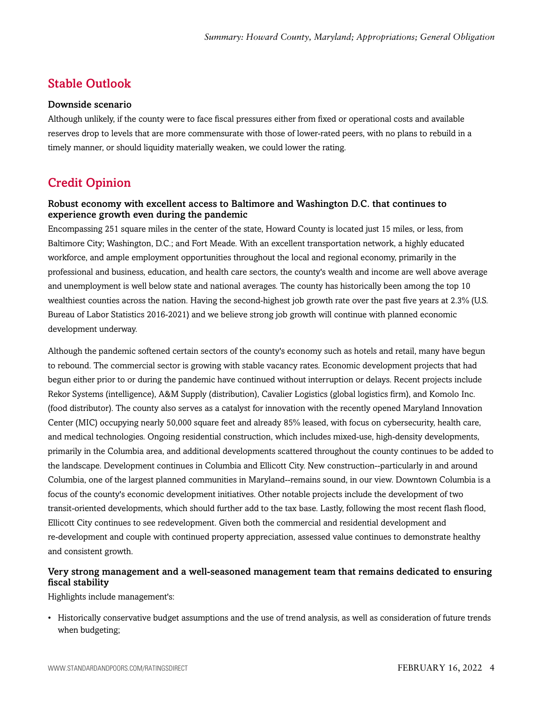# <span id="page-3-0"></span>Stable Outlook

#### Downside scenario

Although unlikely, if the county were to face fiscal pressures either from fixed or operational costs and available reserves drop to levels that are more commensurate with those of lower-rated peers, with no plans to rebuild in a timely manner, or should liquidity materially weaken, we could lower the rating.

# <span id="page-3-1"></span>Credit Opinion

#### Robust economy with excellent access to Baltimore and Washington D.C. that continues to experience growth even during the pandemic

Encompassing 251 square miles in the center of the state, Howard County is located just 15 miles, or less, from Baltimore City; Washington, D.C.; and Fort Meade. With an excellent transportation network, a highly educated workforce, and ample employment opportunities throughout the local and regional economy, primarily in the professional and business, education, and health care sectors, the county's wealth and income are well above average and unemployment is well below state and national averages. The county has historically been among the top 10 wealthiest counties across the nation. Having the second-highest job growth rate over the past five years at 2.3% (U.S. Bureau of Labor Statistics 2016-2021) and we believe strong job growth will continue with planned economic development underway.

Although the pandemic softened certain sectors of the county's economy such as hotels and retail, many have begun to rebound. The commercial sector is growing with stable vacancy rates. Economic development projects that had begun either prior to or during the pandemic have continued without interruption or delays. Recent projects include Rekor Systems (intelligence), A&M Supply (distribution), Cavalier Logistics (global logistics firm), and Komolo Inc. (food distributor). The county also serves as a catalyst for innovation with the recently opened Maryland Innovation Center (MIC) occupying nearly 50,000 square feet and already 85% leased, with focus on cybersecurity, health care, and medical technologies. Ongoing residential construction, which includes mixed-use, high-density developments, primarily in the Columbia area, and additional developments scattered throughout the county continues to be added to the landscape. Development continues in Columbia and Ellicott City. New construction--particularly in and around Columbia, one of the largest planned communities in Maryland--remains sound, in our view. Downtown Columbia is a focus of the county's economic development initiatives. Other notable projects include the development of two transit-oriented developments, which should further add to the tax base. Lastly, following the most recent flash flood, Ellicott City continues to see redevelopment. Given both the commercial and residential development and re-development and couple with continued property appreciation, assessed value continues to demonstrate healthy and consistent growth.

#### Very strong management and a well-seasoned management team that remains dedicated to ensuring fiscal stability

Highlights include management's:

• Historically conservative budget assumptions and the use of trend analysis, as well as consideration of future trends when budgeting;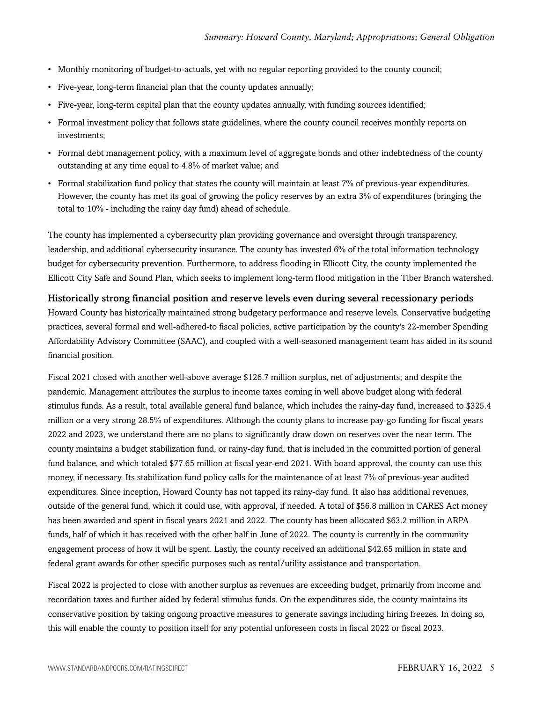- Monthly monitoring of budget-to-actuals, yet with no regular reporting provided to the county council;
- Five-year, long-term financial plan that the county updates annually;
- Five-year, long-term capital plan that the county updates annually, with funding sources identified;
- Formal investment policy that follows state guidelines, where the county council receives monthly reports on investments;
- Formal debt management policy, with a maximum level of aggregate bonds and other indebtedness of the county outstanding at any time equal to 4.8% of market value; and
- Formal stabilization fund policy that states the county will maintain at least 7% of previous-year expenditures. However, the county has met its goal of growing the policy reserves by an extra 3% of expenditures (bringing the total to 10% - including the rainy day fund) ahead of schedule.

The county has implemented a cybersecurity plan providing governance and oversight through transparency, leadership, and additional cybersecurity insurance. The county has invested 6% of the total information technology budget for cybersecurity prevention. Furthermore, to address flooding in Ellicott City, the county implemented the Ellicott City Safe and Sound Plan, which seeks to implement long-term flood mitigation in the Tiber Branch watershed.

#### Historically strong financial position and reserve levels even during several recessionary periods

Howard County has historically maintained strong budgetary performance and reserve levels. Conservative budgeting practices, several formal and well-adhered-to fiscal policies, active participation by the county's 22-member Spending Affordability Advisory Committee (SAAC), and coupled with a well-seasoned management team has aided in its sound financial position.

Fiscal 2021 closed with another well-above average \$126.7 million surplus, net of adjustments; and despite the pandemic. Management attributes the surplus to income taxes coming in well above budget along with federal stimulus funds. As a result, total available general fund balance, which includes the rainy-day fund, increased to \$325.4 million or a very strong 28.5% of expenditures. Although the county plans to increase pay-go funding for fiscal years 2022 and 2023, we understand there are no plans to significantly draw down on reserves over the near term. The county maintains a budget stabilization fund, or rainy-day fund, that is included in the committed portion of general fund balance, and which totaled \$77.65 million at fiscal year-end 2021. With board approval, the county can use this money, if necessary. Its stabilization fund policy calls for the maintenance of at least 7% of previous-year audited expenditures. Since inception, Howard County has not tapped its rainy-day fund. It also has additional revenues, outside of the general fund, which it could use, with approval, if needed. A total of \$56.8 million in CARES Act money has been awarded and spent in fiscal years 2021 and 2022. The county has been allocated \$63.2 million in ARPA funds, half of which it has received with the other half in June of 2022. The county is currently in the community engagement process of how it will be spent. Lastly, the county received an additional \$42.65 million in state and federal grant awards for other specific purposes such as rental/utility assistance and transportation.

Fiscal 2022 is projected to close with another surplus as revenues are exceeding budget, primarily from income and recordation taxes and further aided by federal stimulus funds. On the expenditures side, the county maintains its conservative position by taking ongoing proactive measures to generate savings including hiring freezes. In doing so, this will enable the county to position itself for any potential unforeseen costs in fiscal 2022 or fiscal 2023.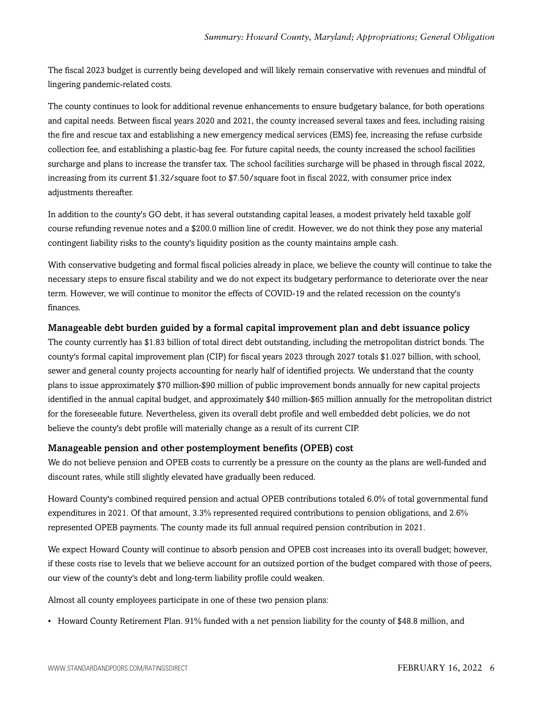The fiscal 2023 budget is currently being developed and will likely remain conservative with revenues and mindful of lingering pandemic-related costs.

The county continues to look for additional revenue enhancements to ensure budgetary balance, for both operations and capital needs. Between fiscal years 2020 and 2021, the county increased several taxes and fees, including raising the fire and rescue tax and establishing a new emergency medical services (EMS) fee, increasing the refuse curbside collection fee, and establishing a plastic-bag fee. For future capital needs, the county increased the school facilities surcharge and plans to increase the transfer tax. The school facilities surcharge will be phased in through fiscal 2022, increasing from its current \$1.32/square foot to \$7.50/square foot in fiscal 2022, with consumer price index adjustments thereafter.

In addition to the county's GO debt, it has several outstanding capital leases, a modest privately held taxable golf course refunding revenue notes and a \$200.0 million line of credit. However, we do not think they pose any material contingent liability risks to the county's liquidity position as the county maintains ample cash.

With conservative budgeting and formal fiscal policies already in place, we believe the county will continue to take the necessary steps to ensure fiscal stability and we do not expect its budgetary performance to deteriorate over the near term. However, we will continue to monitor the effects of COVID-19 and the related recession on the county's finances.

#### Manageable debt burden guided by a formal capital improvement plan and debt issuance policy

The county currently has \$1.83 billion of total direct debt outstanding, including the metropolitan district bonds. The county's formal capital improvement plan (CIP) for fiscal years 2023 through 2027 totals \$1.027 billion, with school, sewer and general county projects accounting for nearly half of identified projects. We understand that the county plans to issue approximately \$70 million-\$90 million of public improvement bonds annually for new capital projects identified in the annual capital budget, and approximately \$40 million-\$65 million annually for the metropolitan district for the foreseeable future. Nevertheless, given its overall debt profile and well embedded debt policies, we do not believe the county's debt profile will materially change as a result of its current CIP.

#### Manageable pension and other postemployment benefits (OPEB) cost

We do not believe pension and OPEB costs to currently be a pressure on the county as the plans are well-funded and discount rates, while still slightly elevated have gradually been reduced.

Howard County's combined required pension and actual OPEB contributions totaled 6.0% of total governmental fund expenditures in 2021. Of that amount, 3.3% represented required contributions to pension obligations, and 2.6% represented OPEB payments. The county made its full annual required pension contribution in 2021.

We expect Howard County will continue to absorb pension and OPEB cost increases into its overall budget; however, if these costs rise to levels that we believe account for an outsized portion of the budget compared with those of peers, our view of the county's debt and long-term liability profile could weaken.

Almost all county employees participate in one of these two pension plans:

• Howard County Retirement Plan. 91% funded with a net pension liability for the county of \$48.8 million, and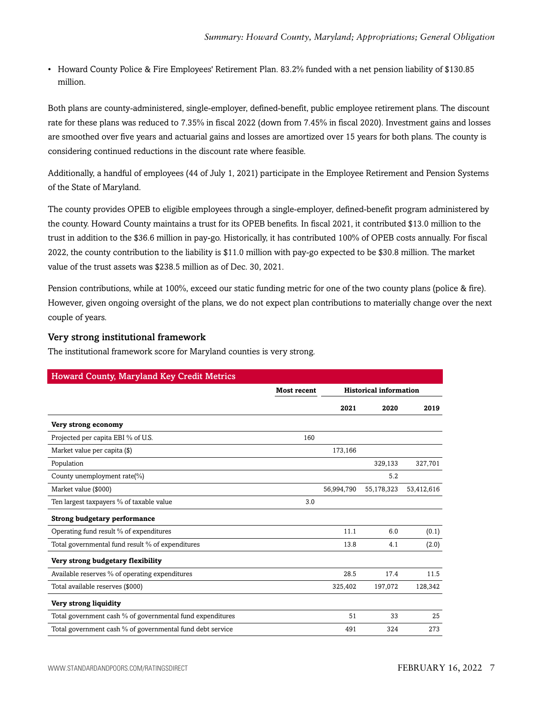• Howard County Police & Fire Employees' Retirement Plan. 83.2% funded with a net pension liability of \$130.85 million.

Both plans are county-administered, single-employer, defined-benefit, public employee retirement plans. The discount rate for these plans was reduced to 7.35% in fiscal 2022 (down from 7.45% in fiscal 2020). Investment gains and losses are smoothed over five years and actuarial gains and losses are amortized over 15 years for both plans. The county is considering continued reductions in the discount rate where feasible.

Additionally, a handful of employees (44 of July 1, 2021) participate in the Employee Retirement and Pension Systems of the State of Maryland.

The county provides OPEB to eligible employees through a single-employer, defined-benefit program administered by the county. Howard County maintains a trust for its OPEB benefits. In fiscal 2021, it contributed \$13.0 million to the trust in addition to the \$36.6 million in pay-go. Historically, it has contributed 100% of OPEB costs annually. For fiscal 2022, the county contribution to the liability is \$11.0 million with pay-go expected to be \$30.8 million. The market value of the trust assets was \$238.5 million as of Dec. 30, 2021.

Pension contributions, while at 100%, exceed our static funding metric for one of the two county plans (police & fire). However, given ongoing oversight of the plans, we do not expect plan contributions to materially change over the next couple of years.

#### Very strong institutional framework

The institutional framework score for Maryland counties is very strong.

| <b>Howard County, Maryland Key Credit Metrics</b>         |                    |            |                               |            |  |
|-----------------------------------------------------------|--------------------|------------|-------------------------------|------------|--|
|                                                           | <b>Most recent</b> |            | <b>Historical information</b> |            |  |
|                                                           |                    | 2021       | 2020                          | 2019       |  |
| Very strong economy                                       |                    |            |                               |            |  |
| Projected per capita EBI % of U.S.                        | 160                |            |                               |            |  |
| Market value per capita (\$)                              |                    | 173,166    |                               |            |  |
| Population                                                |                    |            | 329,133                       | 327,701    |  |
| County unemployment rate(%)                               |                    |            | 5.2                           |            |  |
| Market value (\$000)                                      |                    | 56,994,790 | 55,178,323                    | 53,412,616 |  |
| Ten largest taxpayers % of taxable value                  | 3.0                |            |                               |            |  |
| <b>Strong budgetary performance</b>                       |                    |            |                               |            |  |
| Operating fund result % of expenditures                   |                    | 11.1       | 6.0                           | (0.1)      |  |
| Total governmental fund result % of expenditures          |                    | 13.8       | 4.1                           | (2.0)      |  |
| Very strong budgetary flexibility                         |                    |            |                               |            |  |
| Available reserves % of operating expenditures            |                    | 28.5       | 17.4                          | 11.5       |  |
| Total available reserves (\$000)                          |                    | 325,402    | 197,072                       | 128,342    |  |
| Very strong liquidity                                     |                    |            |                               |            |  |
| Total government cash % of governmental fund expenditures |                    | 51         | 33                            | 25         |  |
| Total government cash % of governmental fund debt service |                    | 491        | 324                           | 273        |  |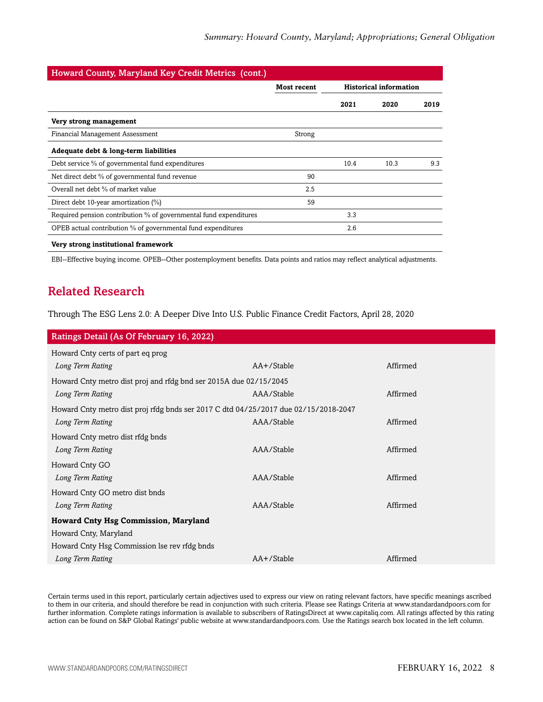| <b>Howard County, Maryland Key Credit Metrics (cont.)</b>         |             |                               |      |      |
|-------------------------------------------------------------------|-------------|-------------------------------|------|------|
|                                                                   | Most recent | <b>Historical information</b> |      |      |
|                                                                   |             | 2021                          | 2020 | 2019 |
| Very strong management                                            |             |                               |      |      |
| Financial Management Assessment                                   | Strong      |                               |      |      |
| Adequate debt & long-term liabilities                             |             |                               |      |      |
| Debt service % of governmental fund expenditures                  |             | 10.4                          | 10.3 | 9.3  |
| Net direct debt % of governmental fund revenue                    | 90          |                               |      |      |
| Overall net debt % of market value                                | 2.5         |                               |      |      |
| Direct debt 10-year amortization (%)                              | 59          |                               |      |      |
| Required pension contribution % of governmental fund expenditures |             | 3.3                           |      |      |
| OPEB actual contribution % of governmental fund expenditures      |             | 2.6                           |      |      |
|                                                                   |             |                               |      |      |

#### **Very strong institutional framework**

<span id="page-7-0"></span>EBI--Effective buying income. OPEB--Other postemployment benefits. Data points and ratios may reflect analytical adjustments.

# Related Research

Through The ESG Lens 2.0: A Deeper Dive Into U.S. Public Finance Credit Factors, April 28, 2020

| Ratings Detail (As Of February 16, 2022)                                            |            |          |  |  |
|-------------------------------------------------------------------------------------|------------|----------|--|--|
| Howard Cnty certs of part eq prog                                                   |            |          |  |  |
| Long Term Rating                                                                    | AA+/Stable | Affirmed |  |  |
| Howard Cnty metro dist proj and rfdg bnd ser 2015A due 02/15/2045                   |            |          |  |  |
| Long Term Rating                                                                    | AAA/Stable | Affirmed |  |  |
| Howard Cnty metro dist proj rfdg bnds ser 2017 C dtd 04/25/2017 due 02/15/2018-2047 |            |          |  |  |
| Long Term Rating                                                                    | AAA/Stable | Affirmed |  |  |
| Howard Cnty metro dist rfdg bnds                                                    |            |          |  |  |
| Long Term Rating                                                                    | AAA/Stable | Affirmed |  |  |
| Howard Cnty GO                                                                      |            |          |  |  |
| Long Term Rating                                                                    | AAA/Stable | Affirmed |  |  |
| Howard Cnty GO metro dist bnds                                                      |            |          |  |  |
| Long Term Rating                                                                    | AAA/Stable | Affirmed |  |  |
| <b>Howard Cnty Hsg Commission, Maryland</b>                                         |            |          |  |  |
| Howard Cnty, Maryland                                                               |            |          |  |  |
| Howard Cnty Hsg Commission lse rev rfdg bnds                                        |            |          |  |  |
| Long Term Rating                                                                    | AA+/Stable | Affirmed |  |  |

Certain terms used in this report, particularly certain adjectives used to express our view on rating relevant factors, have specific meanings ascribed to them in our criteria, and should therefore be read in conjunction with such criteria. Please see Ratings Criteria at www.standardandpoors.com for further information. Complete ratings information is available to subscribers of RatingsDirect at www.capitaliq.com. All ratings affected by this rating action can be found on S&P Global Ratings' public website at www.standardandpoors.com. Use the Ratings search box located in the left column.